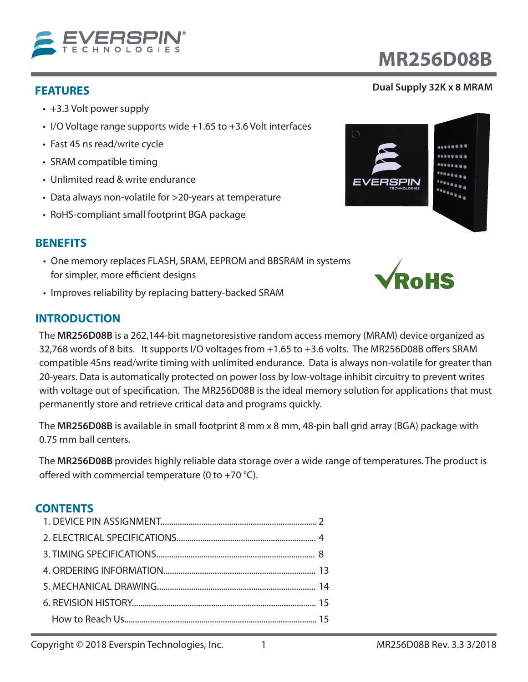

- +3.3 Volt power supply
- I/O Voltage range supports wide +1.65 to +3.6 Volt interfaces
- Fast 45 ns read/write cycle
- SRAM compatible timing
- Unlimited read & write endurance
- Data always non-volatile for >20-years at temperature
- RoHS-compliant small footprint BGA package

# **BENEFITS**

- One memory replaces FLASH, SRAM, EEPROM and BBSRAM in systems for simpler, more efficient designs
- Improves reliability by replacing battery-backed SRAM

# **INTRODUCTION**

The **MR256D08B** is a 262,144-bit magnetoresistive random access memory (MRAM) device organized as 32,768 words of 8 bits. It supports I/O voltages from +1.65 to +3.6 volts. The MR256D08B offers SRAM compatible 45ns read/write timing with unlimited endurance. Data is always non-volatile for greater than 20-years. Data is automatically protected on power loss by low-voltage inhibit circuitry to prevent writes with voltage out of specification. The MR256D08B is the ideal memory solution for applications that must permanently store and retrieve critical data and programs quickly.

The **MR256D08B** is available in small footprint 8 mm x 8 mm, 48-pin ball grid array (BGA) package with 0.75 mm ball centers.

The **MR256D08B** provides highly reliable data storage over a wide range of temperatures. The product is offered with commercial temperature (0 to +70  $^{\circ}$ C).

# **CONTENTS**

# **FEATURES Dual Supply 32K x 8 MRAM**

**MR256D08B**



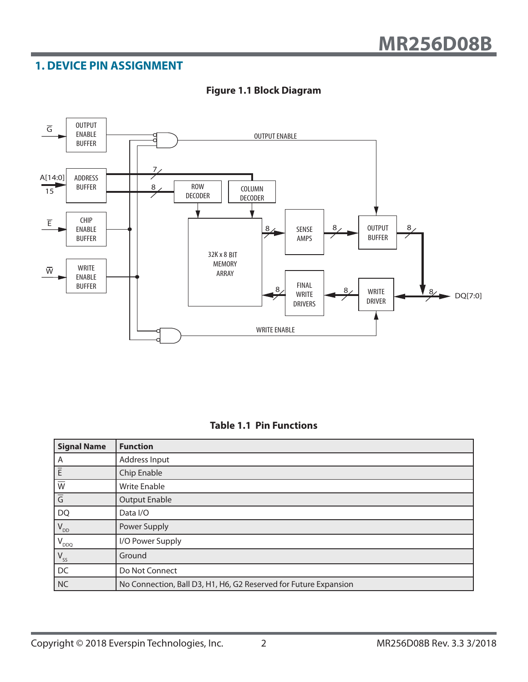# **1. DEVICE PIN ASSIGNMENT**



#### **Figure 1.1 Block Diagram**

| <b>Signal Name</b>         | <b>Function</b>                                                  |
|----------------------------|------------------------------------------------------------------|
| A                          | Address Input                                                    |
| $ \bar{\mathsf{E}}$        | Chip Enable                                                      |
| $\overline{\text{W}}$      | <b>Write Enable</b>                                              |
| $\overline{G}$             | <b>Output Enable</b>                                             |
| <b>DQ</b>                  | Data I/O                                                         |
| $V_{DD}$                   | Power Supply                                                     |
| $'V_{DDQ}$                 | I/O Power Supply                                                 |
| $\mathsf{V}_{\mathsf{SS}}$ | Ground                                                           |
| DC                         | Do Not Connect                                                   |
| NC                         | No Connection, Ball D3, H1, H6, G2 Reserved for Future Expansion |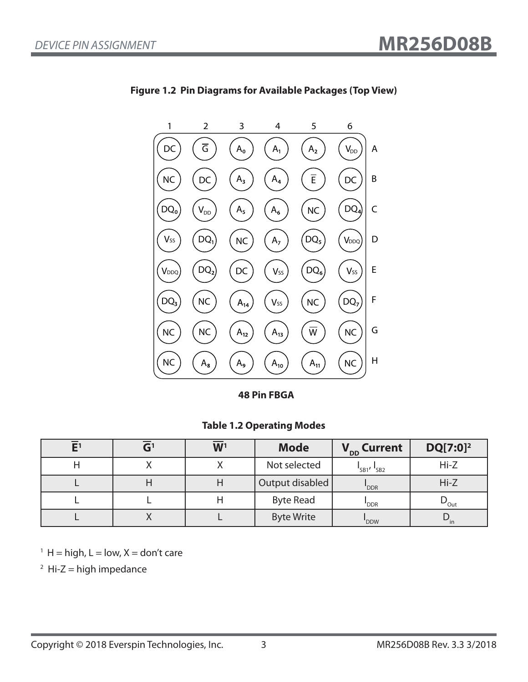

**Figure 1.2 Pin Diagrams for Available Packages (Top View)**

**48 Pin FBGA**

#### **Table 1.2 Operating Modes**

|  | W <sup>1</sup> | <b>Mode</b>       | V <sub>DD</sub> Current           | $DQ[7:0]^2$              |
|--|----------------|-------------------|-----------------------------------|--------------------------|
|  |                | Not selected      | $\frac{1}{5B1}$ , $\frac{1}{5B2}$ | $Hi-Z$                   |
|  |                | Output disabled   | "DDR                              | $Hi-Z$                   |
|  |                | <b>Byte Read</b>  | 'DDR                              | $\nu_{\text{Out}}$       |
|  |                | <b>Byte Write</b> | 'DDW                              | $\mathbf{v}_{\text{in}}$ |

 $1 H = high, L = low, X = don't care$ 

 $2$  Hi-Z = high impedance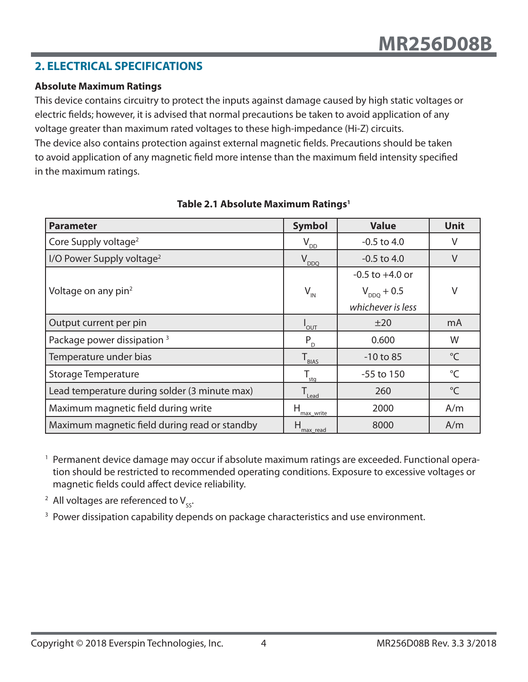# **2. ELECTRICAL SPECIFICATIONS**

#### **Absolute Maximum Ratings**

This device contains circuitry to protect the inputs against damage caused by high static voltages or electric fields; however, it is advised that normal precautions be taken to avoid application of any voltage greater than maximum rated voltages to these high-impedance (Hi-Z) circuits. The device also contains protection against external magnetic fields. Precautions should be taken to avoid application of any magnetic field more intense than the maximum field intensity specified in the maximum ratings.

| <b>Parameter</b>                              | <b>Symbol</b>                | <b>Value</b>        | <b>Unit</b>     |
|-----------------------------------------------|------------------------------|---------------------|-----------------|
| Core Supply voltage <sup>2</sup>              | $V_{\underline{DD}}$         | $-0.5$ to 4.0       | V               |
| I/O Power Supply voltage <sup>2</sup>         | $V_{DDQ}$                    | $-0.5$ to 4.0       | V               |
|                                               |                              | $-0.5$ to $+4.0$ or |                 |
| Voltage on any pin <sup>2</sup>               | $V_{\text{IN}}$              | $V_{DDQ}$ + 0.5     | V               |
|                                               |                              | whichever is less   |                 |
| Output current per pin                        | <b>OUT</b>                   | ±20                 | mA              |
| Package power dissipation <sup>3</sup>        | $P_{D}$                      | 0.600               | W               |
| Temperature under bias                        | $T_{\text{BLAS}}$            | $-10$ to 85         | $^{\circ}$ C    |
| <b>Storage Temperature</b>                    | $T_{\underline{\text{stg}}}$ | $-55$ to $150$      | $^{\circ}$ C    |
| Lead temperature during solder (3 minute max) | $T_{\text{lead}}$            | 260                 | $\rm ^{\circ}C$ |
| Maximum magnetic field during write           | н<br>max write               | 2000                | A/m             |
| Maximum magnetic field during read or standby | н<br>max read                | 8000                | A/m             |

### **Table 2.1 Absolute Maximum Ratings1**

<sup>1</sup> Permanent device damage may occur if absolute maximum ratings are exceeded. Functional operation should be restricted to recommended operating conditions. Exposure to excessive voltages or magnetic fields could affect device reliability.

<sup>2</sup> All voltages are referenced to  $V_{sc}$ .

<sup>3</sup> Power dissipation capability depends on package characteristics and use environment.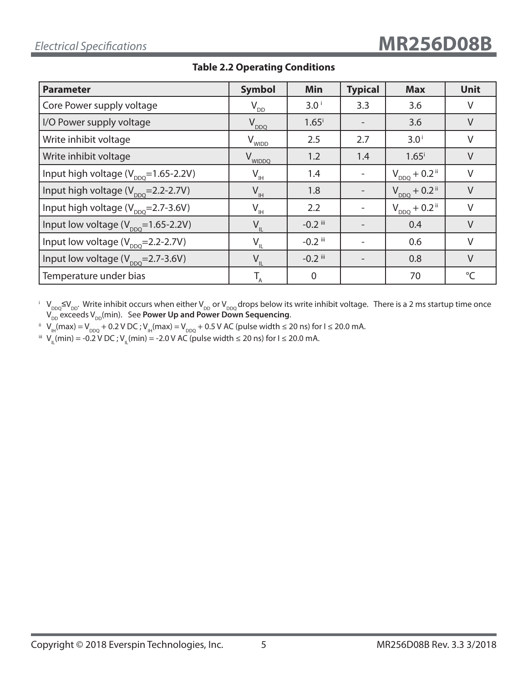| <b>Parameter</b>                                | <b>Symbol</b>                     | <b>Min</b>          | <b>Typical</b> | <b>Max</b>                    | <b>Unit</b>  |
|-------------------------------------------------|-----------------------------------|---------------------|----------------|-------------------------------|--------------|
| Core Power supply voltage                       | $V_{DD}$                          | 3.0 <sup>1</sup>    | 3.3            | 3.6                           | V            |
| I/O Power supply voltage                        | $V_{DDQ}$                         | $1.65^{\mathrm{i}}$ |                | 3.6                           | $\vee$       |
| Write inhibit voltage                           | V <sub>WIDD</sub>                 | 2.5                 | 2.7            | 3.0 <sup>i</sup>              | V            |
| Write inhibit voltage                           | $\rm V_{wIDDQ}$                   | 1.2                 | 1.4            | $1.65$ <sup>i</sup>           | V            |
| Input high voltage $(V_{\text{DDO}}=1.65-2.2V)$ | $V_{\underline{I} \underline{H}}$ | 1.4                 |                | $V_{DDQ} + 0.2$ <sup>ii</sup> | $\vee$       |
| Input high voltage $(V_{\text{DDO}}=2.2-2.7V)$  | $V_{\scriptscriptstyle\rm IH}$    | 1.8                 |                | $V_{DDQ} + 0.2$ <sup>ii</sup> | $\vee$       |
| Input high voltage $(V_{\text{DDO}}=2.7-3.6V)$  | $V_{\underline{\mathbb{H}}}$      | 2.2                 |                | $V_{DDQ} + 0.2$ <sup>ii</sup> | $\vee$       |
| Input low voltage $(V_{\text{DDO}}=1.65-2.2V)$  | $V_{\parallel}$                   | $-0.2$ iii          |                | 0.4                           | V            |
| Input low voltage $(V_{DDO} = 2.2 - 2.7V)$      | $V_{\parallel}$                   | $-0.2$ iii          |                | 0.6                           | V            |
| Input low voltage $(V_{\text{DDO}}=2.7-3.6V)$   | $V_{\parallel}$                   | $-0.2$ iii          |                | 0.8                           | $\vee$       |
| Temperature under bias                          |                                   | $\overline{0}$      |                | 70                            | $^{\circ}$ C |

# **Table 2.2 Operating Conditions**

 $^{\rm i}$  V<sub>DDQ</sub>≤V<sub>DD</sub>. Write inhibit occurs when either V<sub>DD</sub> or V<sub>DDQ</sub> drops below its write inhibit voltage. There is a 2 ms startup time once  $\bm{\mathsf{V}}_{\mathsf{DD}}$  exceeds  $\bm{\mathsf{V}}_{\mathsf{DD}}$ (min). See **Power Up and Power Down Sequencing**.

ii V<sub>IH</sub>(max) = V<sub>DDQ</sub> + 0.2 V DC ; V<sub>IH</sub>(max) = V<sub>DDQ</sub> + 0.5 V AC (pulse width ≤ 20 ns) for I ≤ 20.0 mA.

iii  $V_{\text{IL}}(min) = -0.2 V \text{ DC}$ ;  $V_{\text{IL}}(min) = -2.0 V \text{ AC}$  (pulse width ≤ 20 ns) for I ≤ 20.0 mA.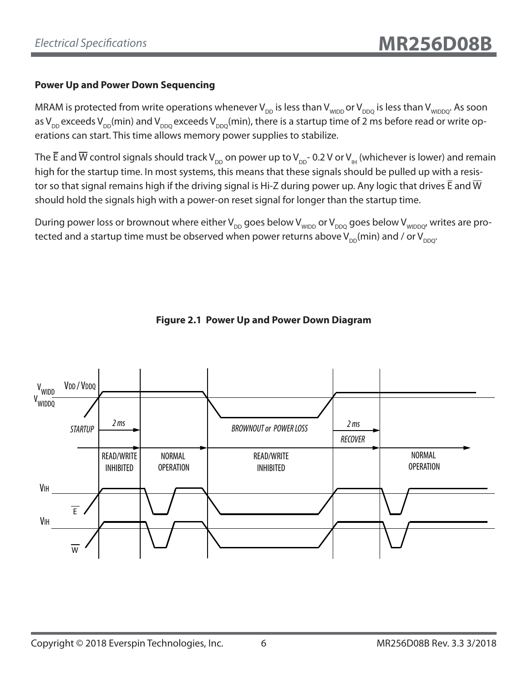# **Power Up and Power Down Sequencing**

MRAM is protected from write operations whenever V<sub>DD</sub> is less than V<sub>WIDD</sub> or V<sub>DDO</sub> is less than V<sub>WIDDO</sub>. As soon as V<sub>DD</sub> exceeds V<sub>DD</sub>(min) and V<sub>DDQ</sub> exceeds V<sub>DDQ</sub>(min), there is a startup time of 2 ms before read or write operations can start. This time allows memory power supplies to stabilize.

The  $\overline{E}$  and  $\overline{W}$  control signals should track V<sub>DD</sub> on power up to V<sub>DD</sub>- 0.2 V or V<sub>H</sub> (whichever is lower) and remain high for the startup time. In most systems, this means that these signals should be pulled up with a resistor so that signal remains high if the driving signal is Hi-Z during power up. Any logic that drives  $\bar{E}$  and  $\bar{W}$ should hold the signals high with a power-on reset signal for longer than the startup time.

During power loss or brownout where either  $V_{DD}$  goes below  $V_{WDD}$  or  $V_{DDQ}$  goes below  $V_{WDDQ}$ , writes are protected and a startup time must be observed when power returns above  $V_{DD}(min)$  and / or  $V_{DDQ}$ .



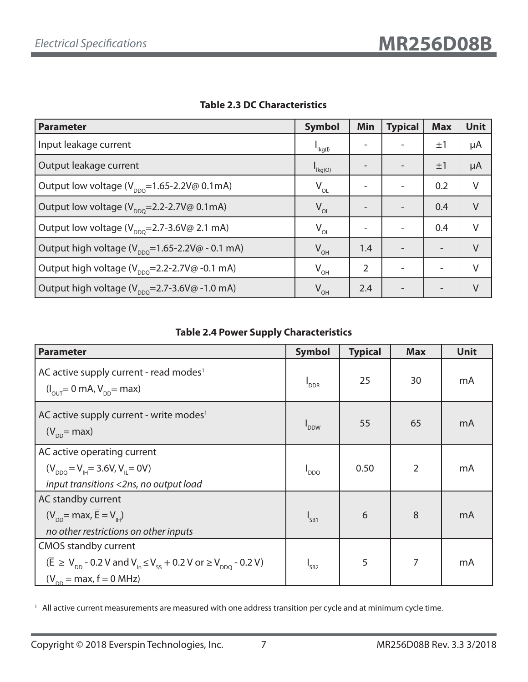| <b>Parameter</b>                                                               | <b>Symbol</b>                           | <b>Min</b> | <b>Typical</b> | <b>Max</b>               | <b>Unit</b> |
|--------------------------------------------------------------------------------|-----------------------------------------|------------|----------------|--------------------------|-------------|
| Input leakage current                                                          | $\mathsf{I}_{\mathsf{lkg}(\mathsf{I})}$ |            |                | $\pm 1$                  | μA          |
| Output leakage current                                                         | $\mathsf{I}_{\mathsf{lkg}(\mathsf{O})}$ |            |                | ±1                       | μA          |
| Output low voltage ( $V_{\text{non}}$ =1.65-2.2V@ 0.1mA)                       | $V_{OL}$                                |            |                | 0.2                      | $\vee$      |
| Output low voltage (V <sub>DDQ</sub> =2.2-2.7V@ 0.1mA)                         | $V_{OL}$                                |            |                | 0.4                      | $\vee$      |
| Output low voltage ( $V_{\text{DDO}}$ =2.7-3.6V@ 2.1 mA)                       | $V_{OL}$                                |            |                | 0.4                      | V           |
| Output high voltage ( $V_{\text{pno}}$ =1.65-2.2V@ - 0.1 mA)                   | $V_{OH}$                                | 1.4        |                |                          | $\vee$      |
| Output high voltage $(V_{DDO} = 2.2 - 2.7 V@ - 0.1 mA)$                        | $V_{OH}$                                | 2          |                |                          | V           |
| Output high voltage $(V_{\text{pno}}=2.7-3.6V\textcircled{a} -1.0 \text{ mA})$ | $V_{OH}$                                | 2.4        |                | $\overline{\phantom{0}}$ | V           |

## **Table 2.3 DC Characteristics**

### **Table 2.4 Power Supply Characteristics**

| <b>Parameter</b>                                                                                                                                                                                           | <b>Symbol</b>    | <b>Typical</b> | <b>Max</b>     | <b>Unit</b> |
|------------------------------------------------------------------------------------------------------------------------------------------------------------------------------------------------------------|------------------|----------------|----------------|-------------|
| AC active supply current - read modes <sup>1</sup><br>$(I_{\text{out}} = 0 \text{ mA}, V_{\text{DD}} = \text{max})$                                                                                        | <sup>I</sup> DDR | 25             | 30             | mA          |
| AC active supply current - write modes <sup>1</sup><br>$(V_{\text{DD}}$ = max)                                                                                                                             | <b>PDDW</b>      | 55             | 65             | mA          |
| AC active operating current<br>$(V_{DDO} = V_{\text{H}} = 3.6 V, V_{\text{H}} = 0 V)$<br>input transitions <2ns, no output load                                                                            | $I_{DDQ}$        | 0.50           | $\overline{2}$ | mA          |
| AC standby current<br>$(V_{\text{DD}}$ = max, $\overline{E} = V_{\text{H}}$<br>no other restrictions on other inputs                                                                                       | $I_{SB1}$        | 6              | 8              | mA          |
| <b>CMOS standby current</b><br>$(\overline{E}$ ≥ V <sub>nn</sub> - 0.2 V and V <sub>In</sub> ≤ V <sub>ss</sub> + 0.2 V or ≥ V <sub>nn0</sub> - 0.2 V)<br>$(V_{\text{DD}} = \text{max}, f = 0 \text{ MHz})$ | I <sub>SB2</sub> | 5              | 7              | mA          |

<sup>1</sup> All active current measurements are measured with one address transition per cycle and at minimum cycle time.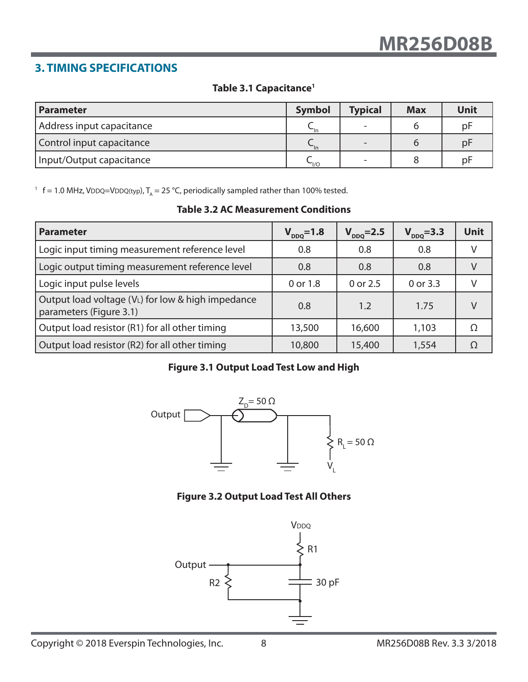# **3. TIMING SPECIFICATIONS**

# **Table 3.1 Capacitance1**

| <b>Parameter</b>          | <b>Symbol</b>        | <b>Typical</b> | <b>Max</b> | Unit |
|---------------------------|----------------------|----------------|------------|------|
| Address input capacitance | $\mathsf{u}$         |                |            | pF   |
| Control input capacitance | $\nightharpoonup$ In |                |            | pF   |
| Input/Output capacitance  | $\sim_{\text{I/O}}$  |                |            | рF   |

<sup>1</sup> f = 1.0 MHz, VDDQ=VDDQ(typ),  $T_A$  = 25 °C, periodically sampled rather than 100% tested.

|  | <b>Table 3.2 AC Measurement Conditions</b> |  |
|--|--------------------------------------------|--|
|--|--------------------------------------------|--|

| <b>Parameter</b>                                                             | $V_{DDQ} = 1.8$ | $V_{DDQ} = 2.5$ | $V_{DDQ} = 3.3$ | <b>Unit</b> |
|------------------------------------------------------------------------------|-----------------|-----------------|-----------------|-------------|
| Logic input timing measurement reference level                               | 0.8             | 0.8             | 0.8             |             |
| Logic output timing measurement reference level                              | 0.8             | 0.8             | 0.8             |             |
| Logic input pulse levels                                                     | 0 or 1.8        | 0 or 2.5        | 0 or 3.3        |             |
| Output load voltage (VL) for low & high impedance<br>parameters (Figure 3.1) | 0.8             | 1.2             | 1.75            |             |
| Output load resistor (R1) for all other timing                               | 13,500          | 16,600          | 1,103           | Ω           |
| Output load resistor (R2) for all other timing                               | 10,800          | 15,400          | 1,554           |             |

# **Figure 3.1 Output Load Test Low and High**



### **Figure 3.2 Output Load Test All Others**

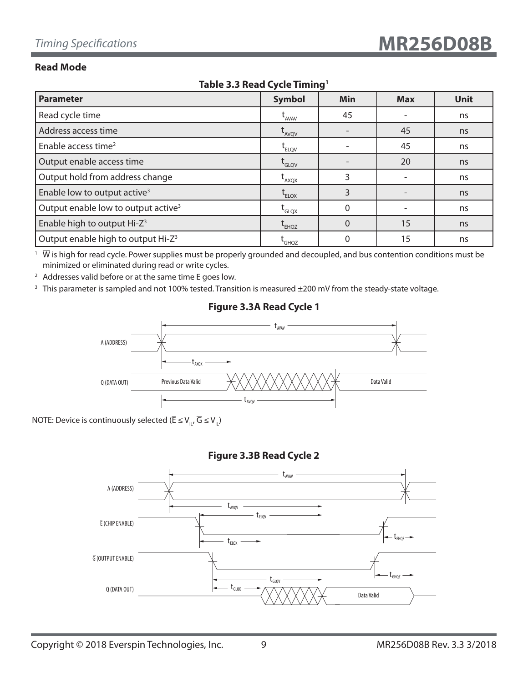#### **Read Mode**

| $18812$ $313$ $11249$ $2341$ $11111111$         |                                         |          |            |             |  |  |  |
|-------------------------------------------------|-----------------------------------------|----------|------------|-------------|--|--|--|
| <b>Parameter</b>                                | <b>Symbol</b>                           | Min      | <b>Max</b> | <b>Unit</b> |  |  |  |
| Read cycle time                                 | $t_{AVAV}$                              | 45       |            | ns          |  |  |  |
| Address access time                             | $t_{AVQV}$                              |          | 45         | ns          |  |  |  |
| Enable access time <sup>2</sup>                 | $t_{ELOV}$                              |          | 45         | ns          |  |  |  |
| Output enable access time                       | $\operatorname{t}_{\text{\tiny{GLQV}}}$ |          | 20         | ns          |  |  |  |
| Output hold from address change                 | $\mathfrak{r}_{\rm{AXQX}}$              | 3        |            | ns          |  |  |  |
| Enable low to output active <sup>3</sup>        | $t_{ELOX}$                              | 3        |            | ns          |  |  |  |
| Output enable low to output active <sup>3</sup> | $\mathsf{t}_{\mathsf{GLQX}}$            | $\Omega$ |            | ns          |  |  |  |
| Enable high to output Hi-Z <sup>3</sup>         | $t_{EHQZ}$                              | $\Omega$ | 15         | ns          |  |  |  |
| Output enable high to output Hi-Z <sup>3</sup>  | <b>L</b> GHQZ                           |          | 15         | ns          |  |  |  |

#### **Table 3.3 Read Cycle Timing1**

 $1\;\overline{W}$  is high for read cycle. Power supplies must be properly grounded and decoupled, and bus contention conditions must be minimized or eliminated during read or write cycles.

<sup>2</sup> Addresses valid before or at the same time  $\overline{E}$  goes low.

<sup>3</sup> This parameter is sampled and not 100% tested. Transition is measured ±200 mV from the steady-state voltage.



## **Figure 3.3A Read Cycle 1**

NOTE: Device is continuously selected ( $\overline{\mathsf{E}} \leq \mathsf{V}_{\mathsf{u}}, \overline{\mathsf{G}} \leq \mathsf{V}_{\mathsf{u}}$ )

#### **Figure 3.3B Read Cycle 2**

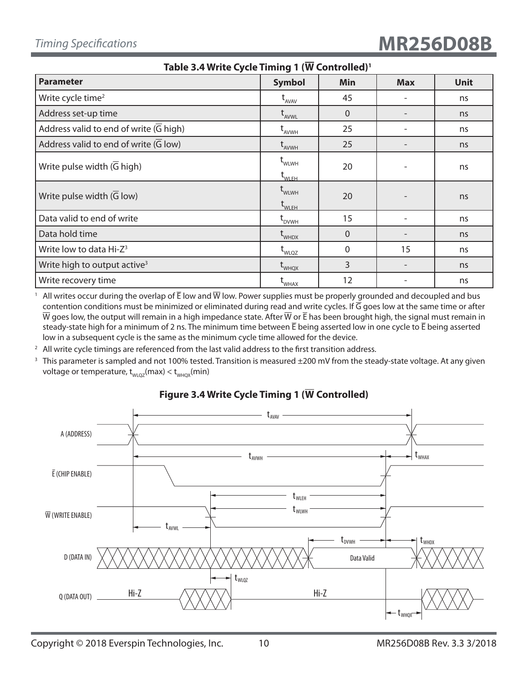| <b>READ IS NOT THE LIGHTER CONTRACT CONTRACT</b>           |                                                   |              |                          |             |  |  |
|------------------------------------------------------------|---------------------------------------------------|--------------|--------------------------|-------------|--|--|
| <b>Parameter</b>                                           | <b>Symbol</b>                                     | Min          | <b>Max</b>               | <b>Unit</b> |  |  |
| Write cycle time <sup>2</sup>                              | $t_{AVAV}$                                        | 45           |                          | ns          |  |  |
| Address set-up time                                        | $t_{AVWL}$                                        | $\Omega$     |                          | ns          |  |  |
| Address valid to end of write $(G$ high)                   | $t_{A VWH}$                                       | 25           | $\overline{\phantom{a}}$ | ns          |  |  |
| Address valid to end of write $(\overline{G} \text{ low})$ | $\rm{t}_{_{AVWH}}$                                | 25           |                          | ns          |  |  |
| Write pulse width $(\overline{G}$ high)                    | $t_{\text{WLWH}}$<br>$\mathsf{t}_{\mathsf{WLEH}}$ | 20           | $\overline{\phantom{a}}$ | ns          |  |  |
| Write pulse width $(\overline{G}$ low)                     | $t$ <sub>WLWH</sub><br>$t_{\text{WLEH}}$          | 20           |                          | ns          |  |  |
| Data valid to end of write                                 | $\operatorname{\mathsf{t}}_{_{\mathsf{DVMH}}}$    | 15           |                          | ns          |  |  |
| Data hold time                                             | $t_{\text{whDX}}$                                 | $\Omega$     |                          | ns          |  |  |
| Write low to data Hi-Z <sup>3</sup>                        | $t_{\text{WLQZ}}$                                 | $\mathbf{0}$ | 15                       | ns          |  |  |
| Write high to output active <sup>3</sup>                   | $t_{\text{WHQX}}$                                 | 3            |                          | ns          |  |  |
| Write recovery time                                        | $L_{WHAX}$                                        | 12           |                          | ns          |  |  |

**Table 3.4 Write Cycle Timing 1 (W Controlled)1**

<sup>1</sup> All writes occur during the overlap of  $\bar{E}$  low and  $\overline{W}$  low. Power supplies must be properly grounded and decoupled and bus contention conditions must be minimized or eliminated during read and write cycles. If  $\overline{G}$  goes low at the same time or after  $\overline{W}$  goes low, the output will remain in a high impedance state. After  $\overline{W}$  or  $\overline{E}$  has been brought high, the signal must remain in steady-state high for a minimum of 2 ns. The minimum time between  $\bar{E}$  being asserted low in one cycle to  $\bar{E}$  being asserted low in a subsequent cycle is the same as the minimum cycle time allowed for the device.

 $2$  All write cycle timings are referenced from the last valid address to the first transition address.

<sup>3</sup> This parameter is sampled and not 100% tested. Transition is measured  $\pm 200$  mV from the steady-state voltage. At any given voltage or temperature,  $t_{w_{\text{UQZ}}}(\text{max}) < t_{w_{\text{HQX}}}(\text{min})$ 



# **Figure 3.4 Write Cycle Timing 1 (W Controlled)**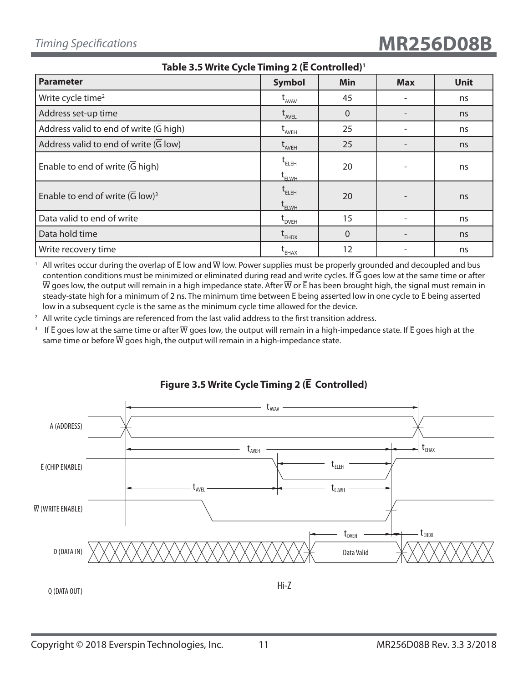| Table 3.3 Write Cycle Thinng $2$ (L Controlled)            |                                                                                                      |                |            |             |  |  |
|------------------------------------------------------------|------------------------------------------------------------------------------------------------------|----------------|------------|-------------|--|--|
| <b>Parameter</b>                                           | <b>Symbol</b>                                                                                        | Min            | <b>Max</b> | <b>Unit</b> |  |  |
| Write cycle time <sup>2</sup>                              | $t_{AVAV}$                                                                                           | 45             |            | ns          |  |  |
| Address set-up time                                        | $t_{AVEL}$                                                                                           | $\mathbf 0$    |            | ns          |  |  |
| Address valid to end of write $(G$ high)                   | $\operatorname{t}_{\scriptscriptstyle\mathsf{AVEH}}$                                                 | 25             |            | ns          |  |  |
| Address valid to end of write $(\overline{G} \text{ low})$ | $\operatorname{\mathsf{t}}_{_{\scriptscriptstyle\mathsf{AVEH}}}$                                     | 25             |            | ns          |  |  |
| Enable to end of write $(\overline{G}$ high)               | $\mathfrak{t}_{\scriptscriptstyle\mathrm{ELEH}}$<br>$\operatorname{t}_{\scriptscriptstyle \rm ELWH}$ | 20             |            | ns          |  |  |
| Enable to end of write $(\overline{G} \text{ low})^3$      | $t_{ELEH}$<br>$\operatorname{\mathsf{t}}_{\scriptscriptstyle\mathsf{ELWH}}$                          | 20             |            | ns          |  |  |
| Data valid to end of write                                 | $\tau_{DVEH}$                                                                                        | 15             |            | ns          |  |  |
| Data hold time                                             | $t_{EHDX}$                                                                                           | $\overline{0}$ |            | ns          |  |  |
| Write recovery time                                        | $\operatorname{\mathsf{t}}_{\mathsf{\scriptscriptstyle EHAX}}$                                       | 12             |            | ns          |  |  |

**Table 3.5 Write Cycle Timing 2 (E Controlled)1**

<sup>1</sup> All writes occur during the overlap of  $\bar{E}$  low and  $\bar{W}$  low. Power supplies must be properly grounded and decoupled and bus contention conditions must be minimized or eliminated during read and write cycles. If  $\overline{G}$  goes low at the same time or after  $\overline{W}$  goes low, the output will remain in a high impedance state. After  $\overline{W}$  or  $\overline{E}$  has been brought high, the signal must remain in steady-state high for a minimum of 2 ns. The minimum time between  $\bar{E}$  being asserted low in one cycle to  $\bar{E}$  being asserted low in a subsequent cycle is the same as the minimum cycle time allowed for the device.

 $2$  All write cycle timings are referenced from the last valid address to the first transition address.

<sup>3</sup> If  $\bar{E}$  goes low at the same time or after  $\bar{W}$  goes low, the output will remain in a high-impedance state. If  $\bar{E}$  goes high at the same time or before  $\overline{W}$  goes high, the output will remain in a high-impedance state.



# **Figure 3.5 Write Cycle Timing 2 (E Controlled)**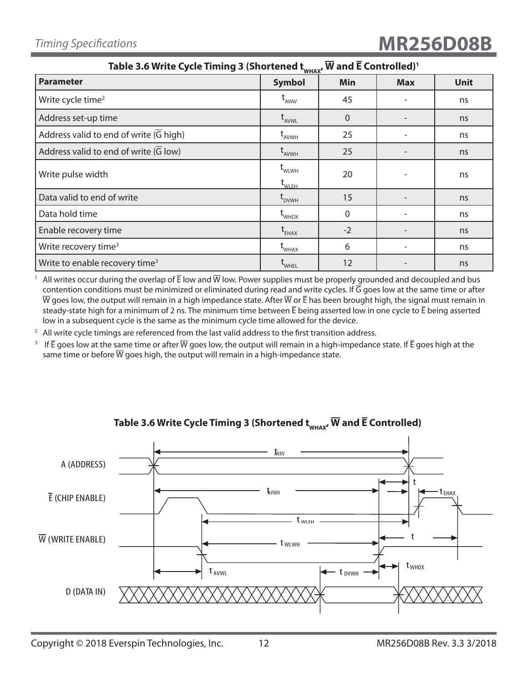| Table 3.6 Write Cycle Timing 3 (Shortened t <sub>whax</sub> , W and E Controlled)' |                                                       |                |            |             |  |  |
|------------------------------------------------------------------------------------|-------------------------------------------------------|----------------|------------|-------------|--|--|
| <b>Parameter</b>                                                                   | <b>Symbol</b>                                         | Min            | <b>Max</b> | <b>Unit</b> |  |  |
| Write cycle time <sup>2</sup>                                                      | $L$ <sub>AVAV</sub>                                   | 45             |            | ns          |  |  |
| Address set-up time                                                                | $t_{AVWL}$                                            | $\overline{0}$ |            | ns          |  |  |
| Address valid to end of write (G high)                                             | $t_{AVWH}$                                            | 25             |            | ns          |  |  |
| Address valid to end of write (G low)                                              | $t_{AVWH}$                                            | 25             |            | ns          |  |  |
| Write pulse width                                                                  | $t_{\text{WLWH}}$<br>$\operatorname{t}_{\text{WLEH}}$ | 20             |            | ns          |  |  |
| Data valid to end of write                                                         | $L_{DVMH}$                                            | 15             |            | ns          |  |  |
| Data hold time                                                                     | $t_{\text{whDX}}$                                     | $\Omega$       |            | ns          |  |  |
| Enable recovery time                                                               | $\mathsf{t}_{\mathsf{E}\textsf{HAX}}$                 | $-2$           |            | ns          |  |  |
| Write recovery time <sup>3</sup>                                                   | $t_{\text{WHAX}}$                                     | 6              |            | ns          |  |  |
| Write to enable recovery time <sup>3</sup>                                         | WHEL                                                  | 12             |            | ns          |  |  |

Table 3.6 Write Cycle Timing 3 (Shortened t<sub>whax</sub>, W and E Controlled)<sup>1</sup>

<sup>1</sup> All writes occur during the overlap of  $\bar{E}$  low and  $\bar{W}$  low. Power supplies must be properly grounded and decoupled and bus contention conditions must be minimized or eliminated during read and write cycles. If G goes low at the same time or after  $\overline{W}$  goes low, the output will remain in a high impedance state. After  $\overline{W}$  or  $\overline{E}$  has been brought high, the signal must remain in steady-state high for a minimum of 2 ns. The minimum time between  $\bar{E}$  being asserted low in one cycle to  $\bar{E}$  being asserted low in a subsequent cycle is the same as the minimum cycle time allowed for the device.

 $2$  All write cycle timings are referenced from the last valid address to the first transition address.

<sup>3</sup> If  $\bar{E}$  goes low at the same time or after  $\bar{W}$  goes low, the output will remain in a high-impedance state. If  $\bar{E}$  goes high at the same time or before  $\overline{W}$  goes high, the output will remain in a high-impedance state.



# Table 3.6 Write Cycle Timing 3 (Shortened  $t_{w\text{MAX}}$ ,  $\overline{W}$  and  $\overline{E}$  Controlled)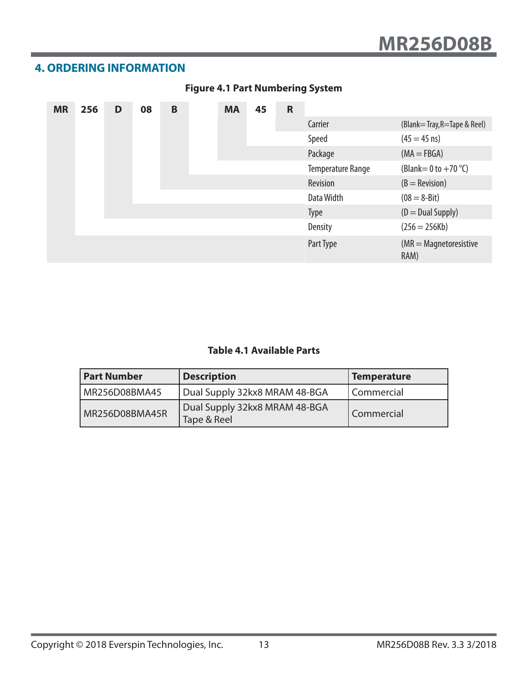# **4. ORDERING INFORMATION**

| <b>MR</b> | 256 | D | 08 | B | <b>MA</b> | 45 | $\mathsf{R}$ |                          |                                      |
|-----------|-----|---|----|---|-----------|----|--------------|--------------------------|--------------------------------------|
|           |     |   |    |   |           |    |              | Carrier                  | (Blank=Tray, R=Tape & Reel)          |
|           |     |   |    |   |           |    |              | Speed                    | $(45 = 45 \text{ ns})$               |
|           |     |   |    |   |           |    |              | Package                  | $(MA = FBGA)$                        |
|           |     |   |    |   |           |    |              | <b>Temperature Range</b> | (Blank = 0 to $+70$ °C)              |
|           |     |   |    |   |           |    |              | Revision                 | $(B = \text{Revision})$              |
|           |     |   |    |   |           |    |              | Data Width               | $(08 = 8 - Bit)$                     |
|           |     |   |    |   |           |    |              | <b>Type</b>              | $(D = Dual Supply)$                  |
|           |     |   |    |   |           |    |              | Density                  | $(256 = 256Kb)$                      |
|           |     |   |    |   |           |    |              | Part Type                | $(MR = Magnetic resistance)$<br>RAM) |

# **Figure 4.1 Part Numbering System**

### **Table 4.1 Available Parts**

| <b>Part Number</b> | <b>Description</b>                           | Temperature       |
|--------------------|----------------------------------------------|-------------------|
| MR256D08BMA45      | Dual Supply 32kx8 MRAM 48-BGA                | Commercial        |
| MR256D08BMA45R     | Dual Supply 32kx8 MRAM 48-BGA<br>Tape & Reel | <b>Commercial</b> |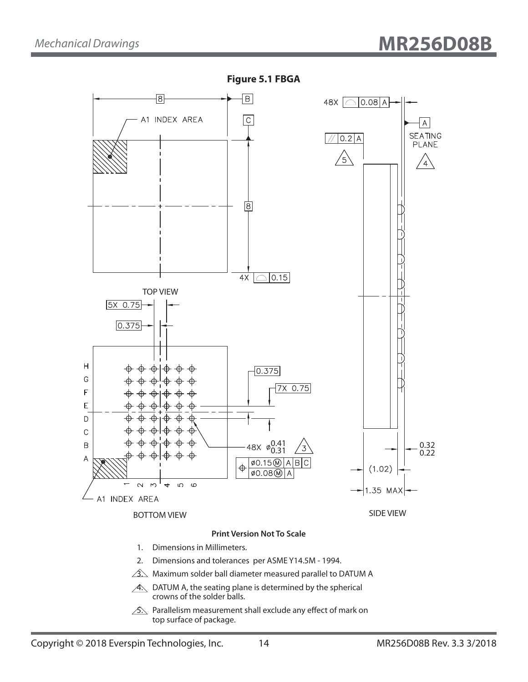

**Figure 5.1 FBGA**

 $\hat{A}$ . Maximum solder ball diameter measured parallel to DATUM A

- $\overline{A}$ . DATUM A, the seating plane is determined by the spherical crowns of the solder balls.
- $\sqrt{2}$ . Parallelism measurement shall exclude any effect of mark on top surface of package.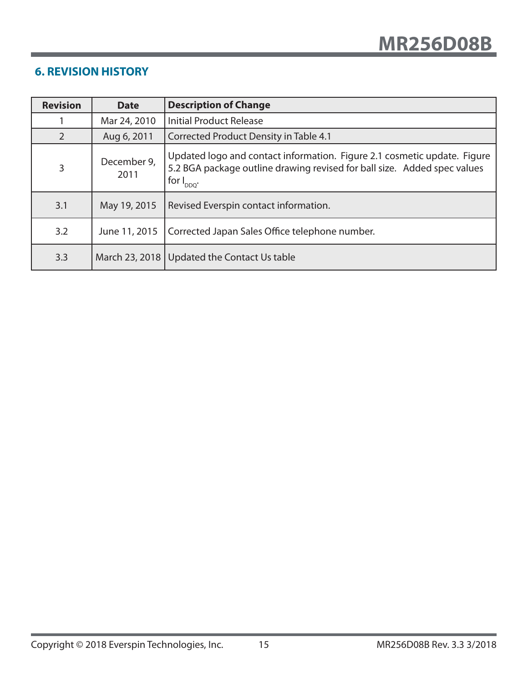# **6. REVISION HISTORY**

| <b>Revision</b> | <b>Date</b>         | <b>Description of Change</b>                                                                                                                                            |
|-----------------|---------------------|-------------------------------------------------------------------------------------------------------------------------------------------------------------------------|
|                 | Mar 24, 2010        | <b>Initial Product Release</b>                                                                                                                                          |
| 2               | Aug 6, 2011         | Corrected Product Density in Table 4.1                                                                                                                                  |
| 3               | December 9,<br>2011 | Updated logo and contact information. Figure 2.1 cosmetic update. Figure<br>5.2 BGA package outline drawing revised for ball size. Added spec values<br>for $I_{DDQ}$ . |
| 3.1             | May 19, 2015        | Revised Everspin contact information.                                                                                                                                   |
| 3.2             | June 11, 2015       | Corrected Japan Sales Office telephone number.                                                                                                                          |
| 3.3             |                     | March 23, 2018   Updated the Contact Us table                                                                                                                           |